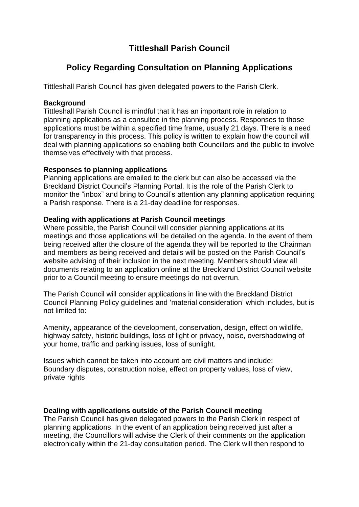## **Tittleshall Parish Council**

# **Policy Regarding Consultation on Planning Applications**

Tittleshall Parish Council has given delegated powers to the Parish Clerk.

### **Background**

Tittleshall Parish Council is mindful that it has an important role in relation to planning applications as a consultee in the planning process. Responses to those applications must be within a specified time frame, usually 21 days. There is a need for transparency in this process. This policy is written to explain how the council will deal with planning applications so enabling both Councillors and the public to involve themselves effectively with that process.

### **Responses to planning applications**

Planning applications are emailed to the clerk but can also be accessed via the Breckland District Council's Planning Portal. It is the role of the Parish Clerk to monitor the "inbox" and bring to Council's attention any planning application requiring a Parish response. There is a 21-day deadline for responses.

### **Dealing with applications at Parish Council meetings**

Where possible, the Parish Council will consider planning applications at its meetings and those applications will be detailed on the agenda. In the event of them being received after the closure of the agenda they will be reported to the Chairman and members as being received and details will be posted on the Parish Council's website advising of their inclusion in the next meeting. Members should view all documents relating to an application online at the Breckland District Council website prior to a Council meeting to ensure meetings do not overrun.

The Parish Council will consider applications in line with the Breckland District Council Planning Policy guidelines and 'material consideration' which includes, but is not limited to:

Amenity, appearance of the development, conservation, design, effect on wildlife, highway safety, historic buildings, loss of light or privacy, noise, overshadowing of your home, traffic and parking issues, loss of sunlight.

Issues which cannot be taken into account are civil matters and include: Boundary disputes, construction noise, effect on property values, loss of view, private rights

#### **Dealing with applications outside of the Parish Council meeting**

The Parish Council has given delegated powers to the Parish Clerk in respect of planning applications. In the event of an application being received just after a meeting, the Councillors will advise the Clerk of their comments on the application electronically within the 21-day consultation period. The Clerk will then respond to